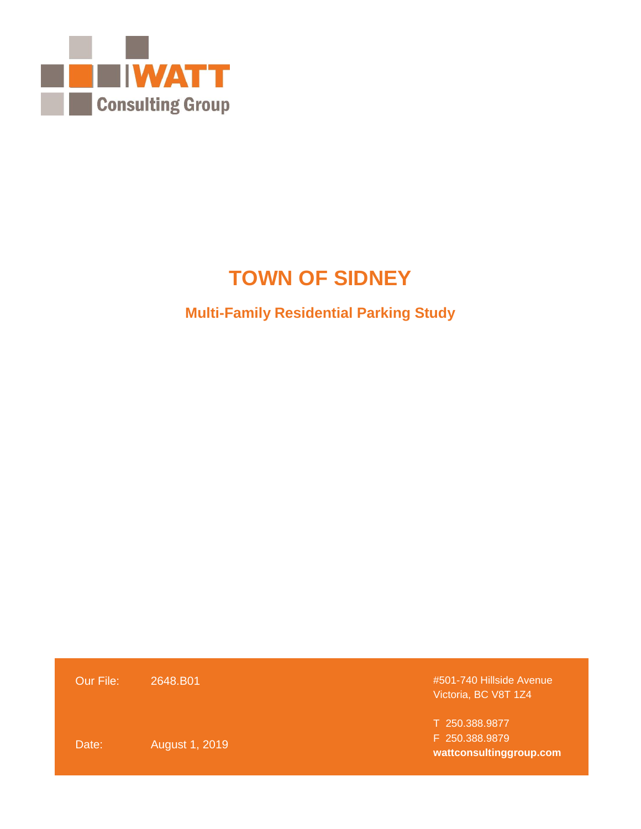

# **TOWN OF SIDNEY**

# **Multi-Family Residential Parking Study**

| Our File: | 2648.B01       | #501-740 Hillside Avenue<br>Victoria, BC V8T 1Z4 |
|-----------|----------------|--------------------------------------------------|
|           |                | T 250.388.9877                                   |
| Date:     | August 1, 2019 | F 250.388.9879                                   |
|           |                | wattconsultinggroup.com                          |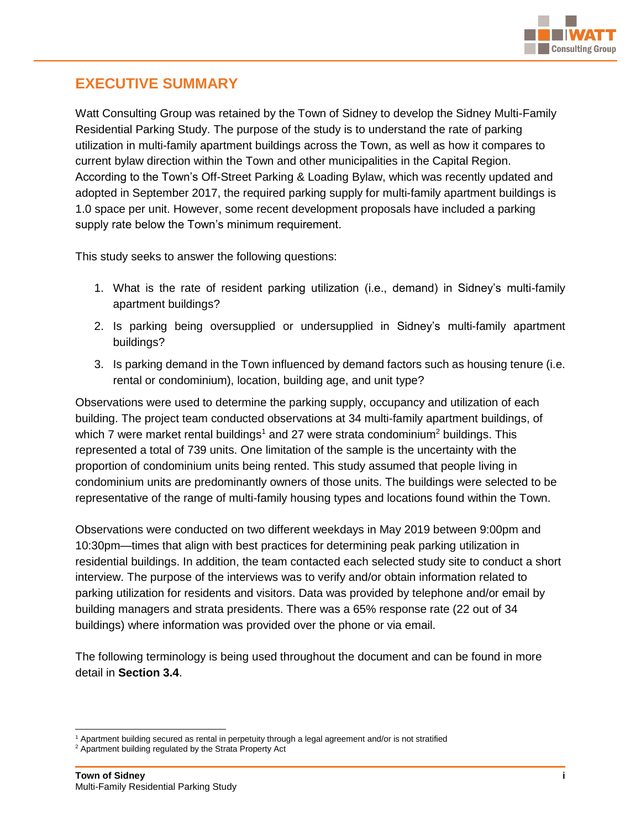

# **EXECUTIVE SUMMARY**

Watt Consulting Group was retained by the Town of Sidney to develop the Sidney Multi-Family Residential Parking Study. The purpose of the study is to understand the rate of parking utilization in multi-family apartment buildings across the Town, as well as how it compares to current bylaw direction within the Town and other municipalities in the Capital Region. According to the Town's Off-Street Parking & Loading Bylaw, which was recently updated and adopted in September 2017, the required parking supply for multi-family apartment buildings is 1.0 space per unit. However, some recent development proposals have included a parking supply rate below the Town's minimum requirement.

This study seeks to answer the following questions:

- 1. What is the rate of resident parking utilization (i.e., demand) in Sidney's multi-family apartment buildings?
- 2. Is parking being oversupplied or undersupplied in Sidney's multi-family apartment buildings?
- 3. Is parking demand in the Town influenced by demand factors such as housing tenure (i.e. rental or condominium), location, building age, and unit type?

Observations were used to determine the parking supply, occupancy and utilization of each building. The project team conducted observations at 34 multi-family apartment buildings, of which 7 were market rental buildings<sup>1</sup> and 27 were strata condominium<sup>2</sup> buildings. This represented a total of 739 units. One limitation of the sample is the uncertainty with the proportion of condominium units being rented. This study assumed that people living in condominium units are predominantly owners of those units. The buildings were selected to be representative of the range of multi-family housing types and locations found within the Town.

Observations were conducted on two different weekdays in May 2019 between 9:00pm and 10:30pm—times that align with best practices for determining peak parking utilization in residential buildings. In addition, the team contacted each selected study site to conduct a short interview. The purpose of the interviews was to verify and/or obtain information related to parking utilization for residents and visitors. Data was provided by telephone and/or email by building managers and strata presidents. There was a 65% response rate (22 out of 34 buildings) where information was provided over the phone or via email.

The following terminology is being used throughout the document and can be found in more detail in **Section 3.4**.

 $\overline{a}$ <sup>1</sup> Apartment building secured as rental in perpetuity through a legal agreement and/or is not stratified

<sup>&</sup>lt;sup>2</sup> Apartment building regulated by the Strata Property Act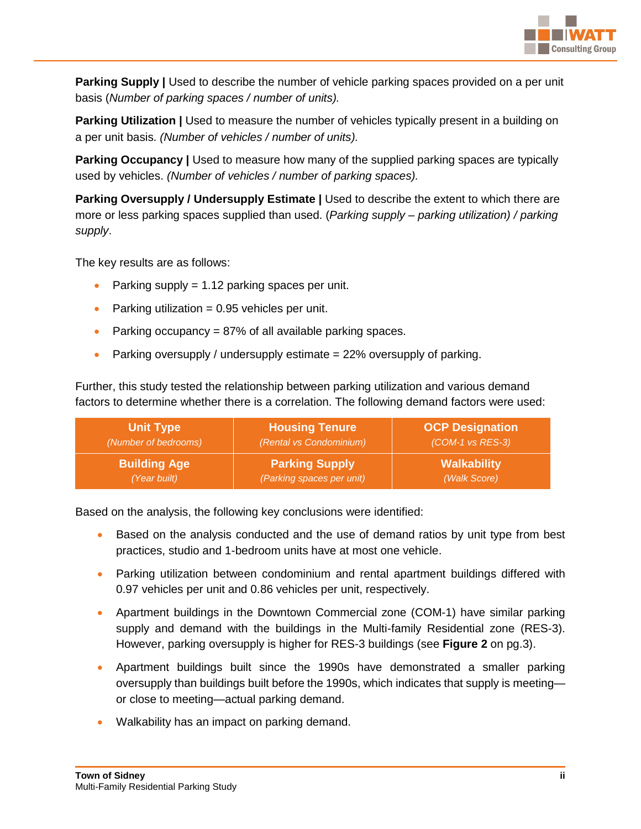

**Parking Supply |** Used to describe the number of vehicle parking spaces provided on a per unit basis (*Number of parking spaces / number of units).*

**Parking Utilization** | Used to measure the number of vehicles typically present in a building on a per unit basis. *(Number of vehicles / number of units).*

**Parking Occupancy |** Used to measure how many of the supplied parking spaces are typically used by vehicles. *(Number of vehicles / number of parking spaces).*

**Parking Oversupply / Undersupply Estimate |** Used to describe the extent to which there are more or less parking spaces supplied than used. (*Parking supply – parking utilization) / parking supply*.

The key results are as follows:

- Parking supply = 1.12 parking spaces per unit.
- Parking utilization  $= 0.95$  vehicles per unit.
- Parking occupancy =  $87\%$  of all available parking spaces.
- **•** Parking oversupply / undersupply estimate  $= 22\%$  oversupply of parking.

Further, this study tested the relationship between parking utilization and various demand factors to determine whether there is a correlation. The following demand factors were used:

| <b>Unit Type</b>     | <b>Housing Tenure</b>     | <b>OCP Designation</b> |
|----------------------|---------------------------|------------------------|
| (Number of bedrooms) | (Rental vs Condominium)   | (COM-1 vs RES-3)       |
| <b>Building Age</b>  | <b>Parking Supply</b>     | <b>Walkability</b>     |
| (Year built)         | (Parking spaces per unit) | (Walk Score)           |

Based on the analysis, the following key conclusions were identified:

- Based on the analysis conducted and the use of demand ratios by unit type from best practices, studio and 1-bedroom units have at most one vehicle.
- Parking utilization between condominium and rental apartment buildings differed with 0.97 vehicles per unit and 0.86 vehicles per unit, respectively.
- Apartment buildings in the Downtown Commercial zone (COM-1) have similar parking supply and demand with the buildings in the Multi-family Residential zone (RES-3). However, parking oversupply is higher for RES-3 buildings (see **Figure 2** on pg.3).
- Apartment buildings built since the 1990s have demonstrated a smaller parking oversupply than buildings built before the 1990s, which indicates that supply is meeting or close to meeting—actual parking demand.
- Walkability has an impact on parking demand.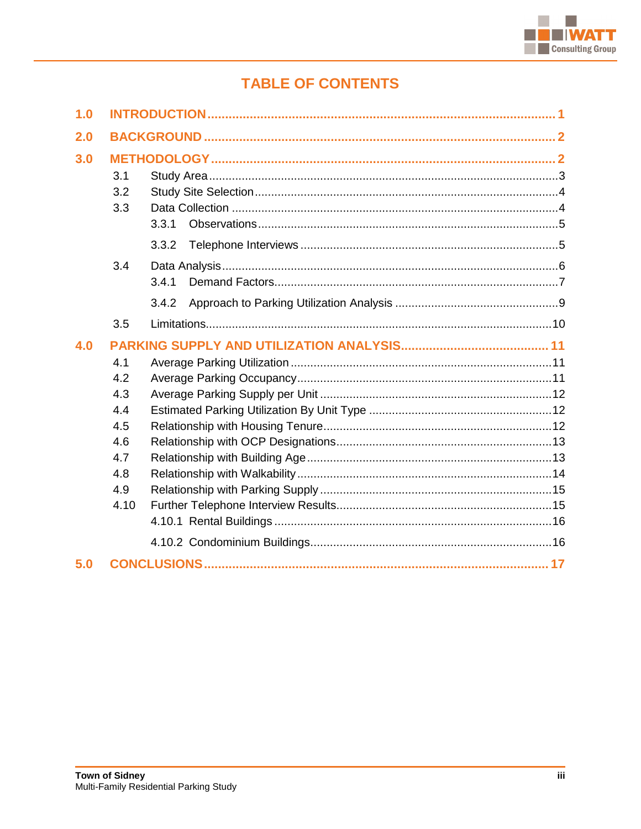

# **TABLE OF CONTENTS**

| 1.0 |                                                                     |                |  |
|-----|---------------------------------------------------------------------|----------------|--|
| 2.0 |                                                                     |                |  |
| 3.0 | 3.1<br>3.2<br>3.3                                                   | 3.3.1<br>3.3.2 |  |
|     | 3.4                                                                 | 3.4.1<br>3.4.2 |  |
|     | 3.5                                                                 |                |  |
| 4.0 | 4.1<br>4.2<br>4.3<br>4.4<br>4.5<br>4.6<br>4.7<br>4.8<br>4.9<br>4.10 |                |  |
| 5.0 |                                                                     |                |  |
|     |                                                                     |                |  |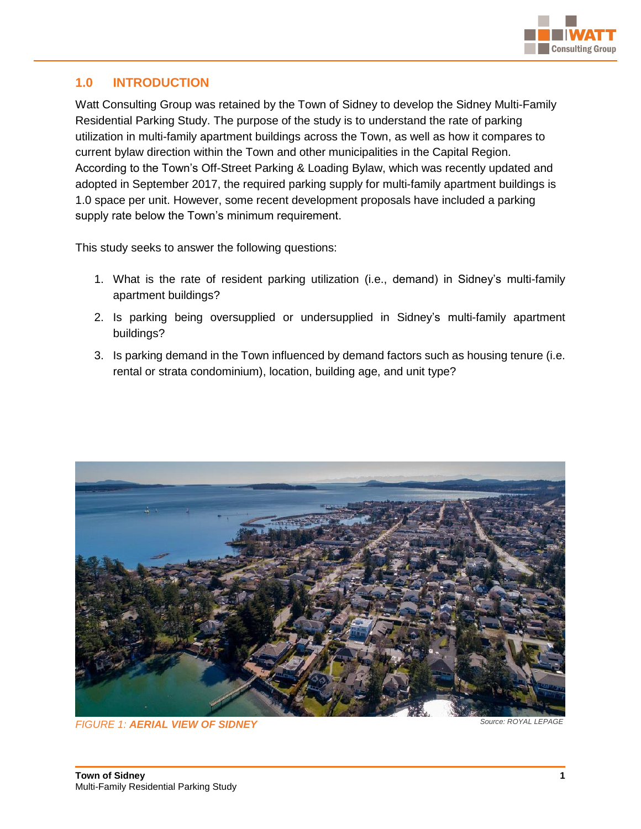

# <span id="page-4-0"></span>**1.0 INTRODUCTION**

Watt Consulting Group was retained by the Town of Sidney to develop the Sidney Multi-Family Residential Parking Study. The purpose of the study is to understand the rate of parking utilization in multi-family apartment buildings across the Town, as well as how it compares to current bylaw direction within the Town and other municipalities in the Capital Region. According to the Town's Off-Street Parking & Loading Bylaw, which was recently updated and adopted in September 2017, the required parking supply for multi-family apartment buildings is 1.0 space per unit. However, some recent development proposals have included a parking supply rate below the Town's minimum requirement.

This study seeks to answer the following questions:

- 1. What is the rate of resident parking utilization (i.e., demand) in Sidney's multi-family apartment buildings?
- 2. Is parking being oversupplied or undersupplied in Sidney's multi-family apartment buildings?
- 3. Is parking demand in the Town influenced by demand factors such as housing tenure (i.e. rental or strata condominium), location, building age, and unit type?



*FIGURE 1: AERIAL VIEW OF SIDNEY Source: ROYAL LEPAGE*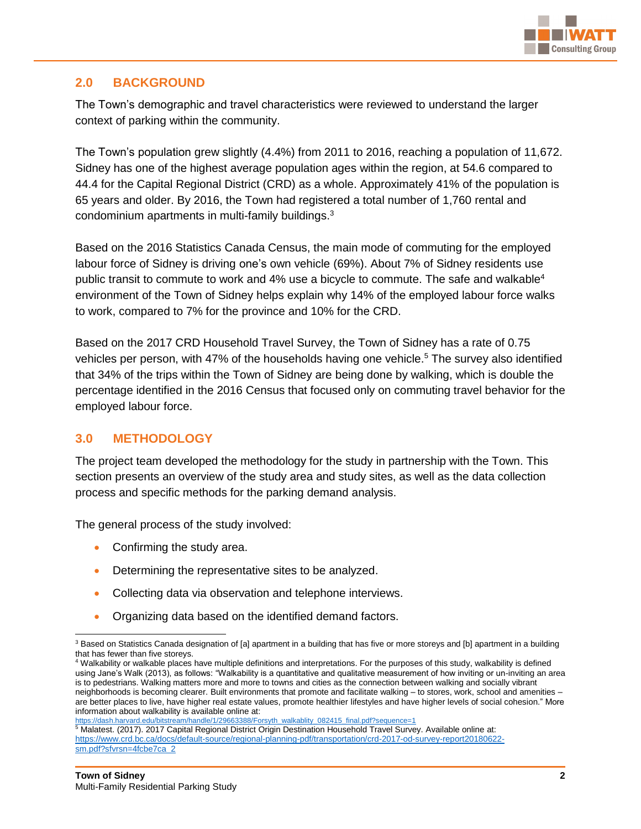

# <span id="page-5-0"></span>**2.0 BACKGROUND**

The Town's demographic and travel characteristics were reviewed to understand the larger context of parking within the community.

The Town's population grew slightly (4.4%) from 2011 to 2016, reaching a population of 11,672. Sidney has one of the highest average population ages within the region, at 54.6 compared to 44.4 for the Capital Regional District (CRD) as a whole. Approximately 41% of the population is 65 years and older. By 2016, the Town had registered a total number of 1,760 rental and condominium apartments in multi-family buildings.<sup>3</sup>

Based on the 2016 Statistics Canada Census, the main mode of commuting for the employed labour force of Sidney is driving one's own vehicle (69%). About 7% of Sidney residents use public transit to commute to work and  $4\%$  use a bicycle to commute. The safe and walkable<sup>4</sup> environment of the Town of Sidney helps explain why 14% of the employed labour force walks to work, compared to 7% for the province and 10% for the CRD.

Based on the 2017 CRD Household Travel Survey, the Town of Sidney has a rate of 0.75 vehicles per person, with 47% of the households having one vehicle.<sup>5</sup> The survey also identified that 34% of the trips within the Town of Sidney are being done by walking, which is double the percentage identified in the 2016 Census that focused only on commuting travel behavior for the employed labour force.

# <span id="page-5-1"></span>**3.0 METHODOLOGY**

The project team developed the methodology for the study in partnership with the Town. This section presents an overview of the study area and study sites, as well as the data collection process and specific methods for the parking demand analysis.

The general process of the study involved:

- Confirming the study area.
- Determining the representative sites to be analyzed.
- Collecting data via observation and telephone interviews.
- Organizing data based on the identified demand factors.

[https://dash.harvard.edu/bitstream/handle/1/29663388/Forsyth\\_walkablity\\_082415\\_final.pdf?sequence=1](https://dash.harvard.edu/bitstream/handle/1/29663388/Forsyth_walkablity_082415_final.pdf?sequence=1)<br><sup>5</sup> Malatest. (2017). 2017 Capital Regional District Origin Destination Household Travel Survey. Available online at: [https://www.crd.bc.ca/docs/default-source/regional-planning-pdf/transportation/crd-2017-od-survey-report20180622](https://www.crd.bc.ca/docs/default-source/regional-planning-pdf/transportation/crd-2017-od-survey-report20180622-sm.pdf?sfvrsn=4fcbe7ca_2) [sm.pdf?sfvrsn=4fcbe7ca\\_2](https://www.crd.bc.ca/docs/default-source/regional-planning-pdf/transportation/crd-2017-od-survey-report20180622-sm.pdf?sfvrsn=4fcbe7ca_2)

 <sup>3</sup> Based on Statistics Canada designation of [a] apartment in a building that has five or more storeys and [b] apartment in a building that has fewer than five storeys.

<sup>4</sup> Walkability or walkable places have multiple definitions and interpretations. For the purposes of this study, walkability is defined using Jane's Walk (2013), as follows: "Walkability is a quantitative and qualitative measurement of how inviting or un-inviting an area is to pedestrians. Walking matters more and more to towns and cities as the connection between walking and socially vibrant neighborhoods is becoming clearer. Built environments that promote and facilitate walking – to stores, work, school and amenities – are better places to live, have higher real estate values, promote healthier lifestyles and have higher levels of social cohesion." More information about walkability is available online at: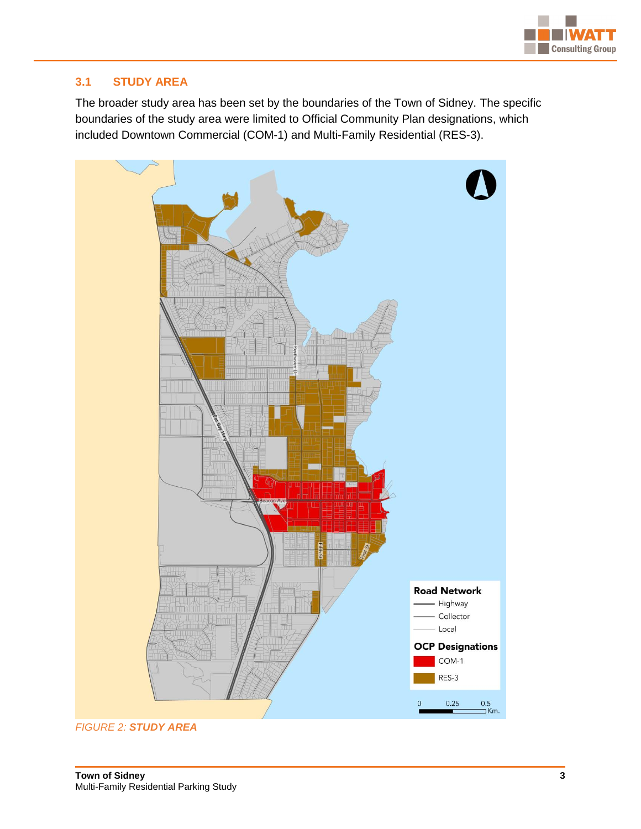

# <span id="page-6-0"></span>**3.1 STUDY AREA**

The broader study area has been set by the boundaries of the Town of Sidney. The specific boundaries of the study area were limited to Official Community Plan designations, which included Downtown Commercial (COM-1) and Multi-Family Residential (RES-3).



*FIGURE 2: STUDY AREA*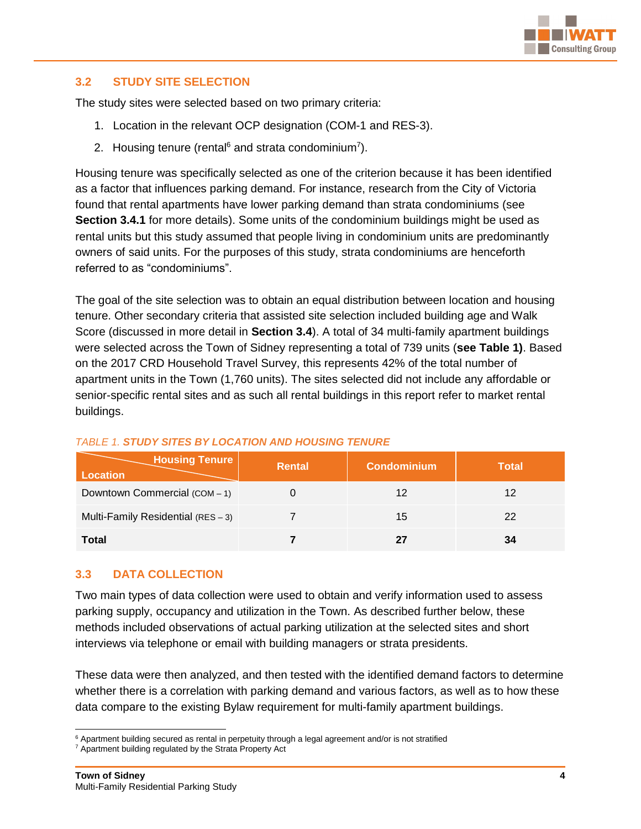

#### <span id="page-7-0"></span>**3.2 STUDY SITE SELECTION**

The study sites were selected based on two primary criteria:

- 1. Location in the relevant OCP designation (COM-1 and RES-3).
- 2. Housing tenure (rental $6$  and strata condominium<sup>7</sup>).

Housing tenure was specifically selected as one of the criterion because it has been identified as a factor that influences parking demand. For instance, research from the City of Victoria found that rental apartments have lower parking demand than strata condominiums (see **Section 3.4.1** for more details). Some units of the condominium buildings might be used as rental units but this study assumed that people living in condominium units are predominantly owners of said units. For the purposes of this study, strata condominiums are henceforth referred to as "condominiums".

The goal of the site selection was to obtain an equal distribution between location and housing tenure. Other secondary criteria that assisted site selection included building age and Walk Score (discussed in more detail in **Section 3.4**). A total of 34 multi-family apartment buildings were selected across the Town of Sidney representing a total of 739 units (**see Table 1)**. Based on the 2017 CRD Household Travel Survey, this represents 42% of the total number of apartment units in the Town (1,760 units). The sites selected did not include any affordable or senior-specific rental sites and as such all rental buildings in this report refer to market rental buildings.

| <b>Housing Tenure</b><br><b>Location</b> | Rental | <b>Condominium</b> | <b>Total</b> |
|------------------------------------------|--------|--------------------|--------------|
| Downtown Commercial (COM-1)              |        | 12                 | 12           |
| Multi-Family Residential (RES - 3)       |        | 15                 | 22           |
| <b>Total</b>                             |        |                    | 34           |

#### *TABLE 1. STUDY SITES BY LOCATION AND HOUSING TENURE*

#### <span id="page-7-1"></span>**3.3 DATA COLLECTION**

Two main types of data collection were used to obtain and verify information used to assess parking supply, occupancy and utilization in the Town. As described further below, these methods included observations of actual parking utilization at the selected sites and short interviews via telephone or email with building managers or strata presidents.

These data were then analyzed, and then tested with the identified demand factors to determine whether there is a correlation with parking demand and various factors, as well as to how these data compare to the existing Bylaw requirement for multi-family apartment buildings.

 $\overline{a}$ <sup>6</sup> Apartment building secured as rental in perpetuity through a legal agreement and/or is not stratified

<sup>7</sup> Apartment building regulated by the Strata Property Act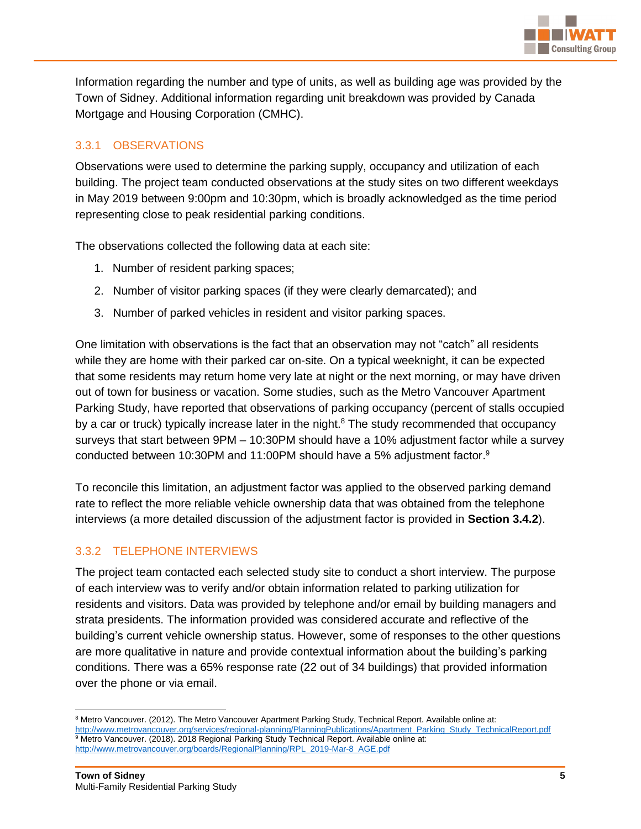

Information regarding the number and type of units, as well as building age was provided by the Town of Sidney. Additional information regarding unit breakdown was provided by Canada Mortgage and Housing Corporation (CMHC).

# <span id="page-8-0"></span>3.3.1 OBSERVATIONS

Observations were used to determine the parking supply, occupancy and utilization of each building. The project team conducted observations at the study sites on two different weekdays in May 2019 between 9:00pm and 10:30pm, which is broadly acknowledged as the time period representing close to peak residential parking conditions.

The observations collected the following data at each site:

- 1. Number of resident parking spaces;
- 2. Number of visitor parking spaces (if they were clearly demarcated); and
- 3. Number of parked vehicles in resident and visitor parking spaces.

One limitation with observations is the fact that an observation may not "catch" all residents while they are home with their parked car on-site. On a typical weeknight, it can be expected that some residents may return home very late at night or the next morning, or may have driven out of town for business or vacation. Some studies, such as the Metro Vancouver Apartment Parking Study, have reported that observations of parking occupancy (percent of stalls occupied by a car or truck) typically increase later in the night.<sup>8</sup> The study recommended that occupancy surveys that start between 9PM – 10:30PM should have a 10% adjustment factor while a survey conducted between 10:30PM and 11:00PM should have a 5% adjustment factor.<sup>9</sup>

To reconcile this limitation, an adjustment factor was applied to the observed parking demand rate to reflect the more reliable vehicle ownership data that was obtained from the telephone interviews (a more detailed discussion of the adjustment factor is provided in **Section 3.4.2**).

#### <span id="page-8-1"></span>3.3.2 TELEPHONE INTERVIEWS

The project team contacted each selected study site to conduct a short interview. The purpose of each interview was to verify and/or obtain information related to parking utilization for residents and visitors. Data was provided by telephone and/or email by building managers and strata presidents. The information provided was considered accurate and reflective of the building's current vehicle ownership status. However, some of responses to the other questions are more qualitative in nature and provide contextual information about the building's parking conditions. There was a 65% response rate (22 out of 34 buildings) that provided information over the phone or via email.

 $\overline{a}$ 

<sup>&</sup>lt;sup>8</sup> Metro Vancouver. (2012). The Metro Vancouver Apartment Parking Study, Technical Report. Available online at: [http://www.metrovancouver.org/services/regional-planning/PlanningPublications/Apartment\\_Parking\\_Study\\_TechnicalReport.pdf](http://www.metrovancouver.org/services/regional-planning/PlanningPublications/Apartment_Parking_Study_TechnicalReport.pdf) 9 Metro Vancouver. (2018). 2018 Regional Parking Study Technical Report. Available online at: [http://www.metrovancouver.org/boards/RegionalPlanning/RPL\\_2019-Mar-8\\_AGE.pdf](http://www.metrovancouver.org/boards/RegionalPlanning/RPL_2019-Mar-8_AGE.pdf)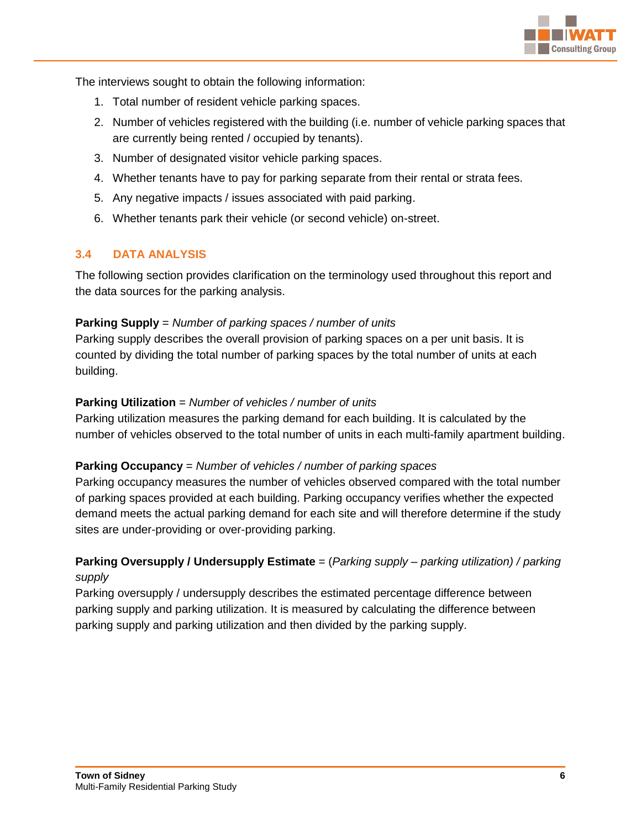

The interviews sought to obtain the following information:

- 1. Total number of resident vehicle parking spaces.
- 2. Number of vehicles registered with the building (i.e. number of vehicle parking spaces that are currently being rented / occupied by tenants).
- 3. Number of designated visitor vehicle parking spaces.
- 4. Whether tenants have to pay for parking separate from their rental or strata fees.
- 5. Any negative impacts / issues associated with paid parking.
- 6. Whether tenants park their vehicle (or second vehicle) on-street.

#### <span id="page-9-0"></span>**3.4 DATA ANALYSIS**

The following section provides clarification on the terminology used throughout this report and the data sources for the parking analysis.

#### **Parking Supply** = *Number of parking spaces / number of units*

Parking supply describes the overall provision of parking spaces on a per unit basis. It is counted by dividing the total number of parking spaces by the total number of units at each building.

#### **Parking Utilization** = *Number of vehicles / number of units*

Parking utilization measures the parking demand for each building. It is calculated by the number of vehicles observed to the total number of units in each multi-family apartment building.

#### **Parking Occupancy** = *Number of vehicles / number of parking spaces*

Parking occupancy measures the number of vehicles observed compared with the total number of parking spaces provided at each building. Parking occupancy verifies whether the expected demand meets the actual parking demand for each site and will therefore determine if the study sites are under-providing or over-providing parking.

# **Parking Oversupply / Undersupply Estimate** = (*Parking supply – parking utilization) / parking supply*

Parking oversupply / undersupply describes the estimated percentage difference between parking supply and parking utilization. It is measured by calculating the difference between parking supply and parking utilization and then divided by the parking supply.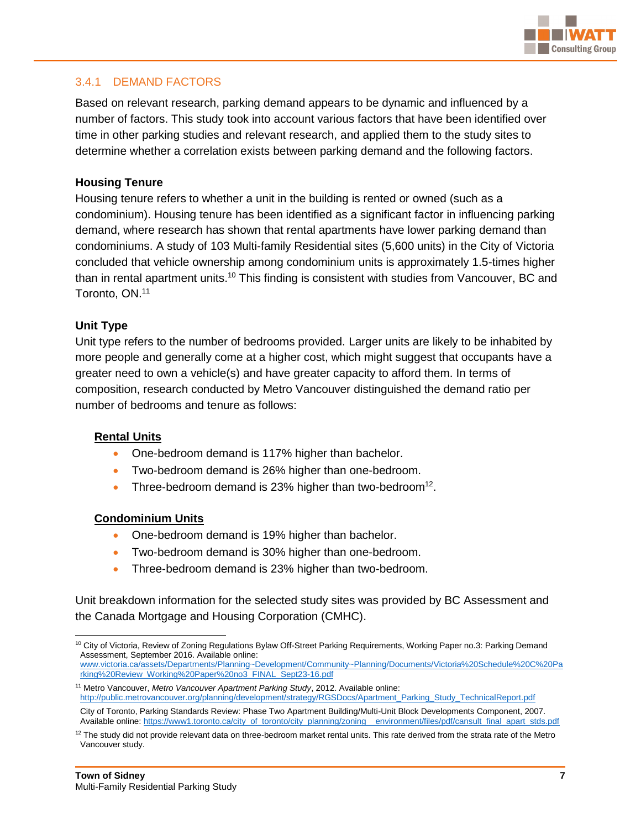

#### <span id="page-10-0"></span>3.4.1 DEMAND FACTORS

Based on relevant research, parking demand appears to be dynamic and influenced by a number of factors. This study took into account various factors that have been identified over time in other parking studies and relevant research, and applied them to the study sites to determine whether a correlation exists between parking demand and the following factors.

#### **Housing Tenure**

Housing tenure refers to whether a unit in the building is rented or owned (such as a condominium). Housing tenure has been identified as a significant factor in influencing parking demand, where research has shown that rental apartments have lower parking demand than condominiums. A study of 103 Multi-family Residential sites (5,600 units) in the City of Victoria concluded that vehicle ownership among condominium units is approximately 1.5-times higher than in rental apartment units.<sup>10</sup> This finding is consistent with studies from Vancouver, BC and Toronto, ON. 11

#### **Unit Type**

Unit type refers to the number of bedrooms provided. Larger units are likely to be inhabited by more people and generally come at a higher cost, which might suggest that occupants have a greater need to own a vehicle(s) and have greater capacity to afford them. In terms of composition, research conducted by Metro Vancouver distinguished the demand ratio per number of bedrooms and tenure as follows:

#### **Rental Units**

- One-bedroom demand is 117% higher than bachelor.
- Two-bedroom demand is 26% higher than one-bedroom.
- Three-bedroom demand is 23% higher than two-bedroom<sup>12</sup>.

#### **Condominium Units**

- One-bedroom demand is 19% higher than bachelor.
- Two-bedroom demand is 30% higher than one-bedroom.
- Three-bedroom demand is 23% higher than two-bedroom.

Unit breakdown information for the selected study sites was provided by BC Assessment and the Canada Mortgage and Housing Corporation (CMHC).

 $\overline{a}$ <sup>10</sup> City of Victoria, Review of Zoning Regulations Bylaw Off-Street Parking Requirements, Working Paper no.3: Parking Demand Assessment, September 2016. Available online: [www.victoria.ca/assets/Departments/Planning~Development/Community~Planning/Documents/Victoria%20Schedule%20C%20Pa](http://www.victoria.ca/assets/Departments/Planning~Development/Community~Planning/Documents/Victoria%20Schedule%20C%20Parking%20Review_Working%20Paper%20no3_FINAL_Sept23-16.pdf) [rking%20Review\\_Working%20Paper%20no3\\_FINAL\\_Sept23-16.pdf](http://www.victoria.ca/assets/Departments/Planning~Development/Community~Planning/Documents/Victoria%20Schedule%20C%20Parking%20Review_Working%20Paper%20no3_FINAL_Sept23-16.pdf)

<sup>11</sup> Metro Vancouver, *Metro Vancouver Apartment Parking Study*, 2012. Available online: [http://public.metrovancouver.org/planning/development/strategy/RGSDocs/Apartment\\_Parking\\_Study\\_TechnicalReport.pdf](http://public.metrovancouver.org/planning/development/strategy/RGSDocs/Apartment_Parking_Study_TechnicalReport.pdf)

City of Toronto, Parking Standards Review: Phase Two Apartment Building/Multi-Unit Block Developments Component, 2007. Available online: [https://www1.toronto.ca/city\\_of\\_toronto/city\\_planning/zoning\\_\\_environment/files/pdf/cansult\\_final\\_apart\\_stds.pdf](https://www1.toronto.ca/city_of_toronto/city_planning/zoning__environment/files/pdf/cansult_final_apart_stds.pdf)

 $12$  The study did not provide relevant data on three-bedroom market rental units. This rate derived from the strata rate of the Metro Vancouver study.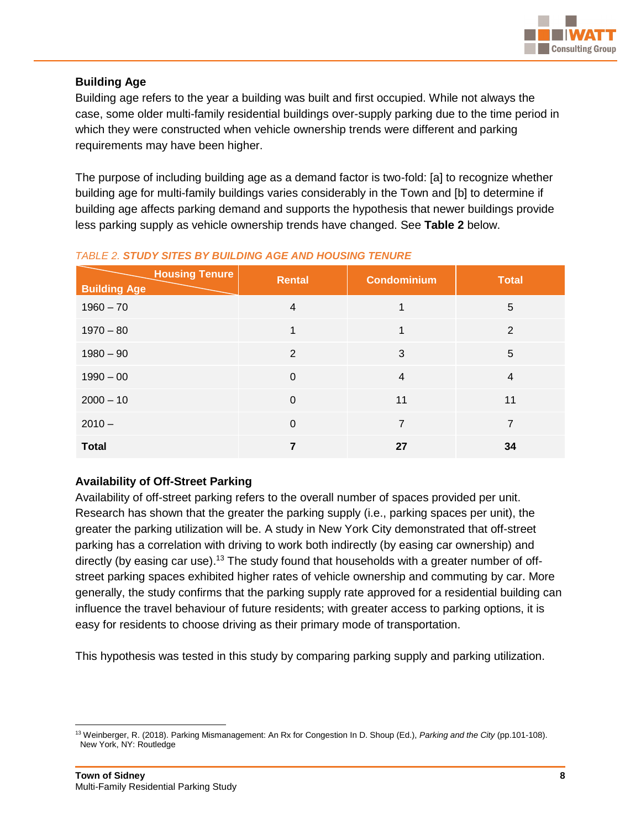

#### **Building Age**

Building age refers to the year a building was built and first occupied. While not always the case, some older multi-family residential buildings over-supply parking due to the time period in which they were constructed when vehicle ownership trends were different and parking requirements may have been higher.

The purpose of including building age as a demand factor is two-fold: [a] to recognize whether building age for multi-family buildings varies considerably in the Town and [b] to determine if building age affects parking demand and supports the hypothesis that newer buildings provide less parking supply as vehicle ownership trends have changed. See **Table 2** below.

| <b>Housing Tenure</b><br><b>Building Age</b> | <b>Rental</b>  | <b>Condominium</b> | <b>Total</b>   |
|----------------------------------------------|----------------|--------------------|----------------|
| $1960 - 70$                                  | $\overline{4}$ |                    | 5              |
| $1970 - 80$                                  | 1              |                    | $\overline{2}$ |
| $1980 - 90$                                  | 2              | 3                  | 5              |
| $1990 - 00$                                  | $\mathbf 0$    | $\overline{4}$     | $\overline{4}$ |
| $2000 - 10$                                  | $\mathbf 0$    | 11                 | 11             |
| $2010 -$                                     | $\mathbf 0$    | $\overline{7}$     | $\overline{7}$ |
| <b>Total</b>                                 | 7              | 27                 | 34             |

#### *TABLE 2. STUDY SITES BY BUILDING AGE AND HOUSING TENURE*

#### **Availability of Off-Street Parking**

Availability of off-street parking refers to the overall number of spaces provided per unit. Research has shown that the greater the parking supply (i.e., parking spaces per unit), the greater the parking utilization will be. A study in New York City demonstrated that off-street parking has a correlation with driving to work both indirectly (by easing car ownership) and directly (by easing car use).<sup>13</sup> The study found that households with a greater number of offstreet parking spaces exhibited higher rates of vehicle ownership and commuting by car. More generally, the study confirms that the parking supply rate approved for a residential building can influence the travel behaviour of future residents; with greater access to parking options, it is easy for residents to choose driving as their primary mode of transportation.

This hypothesis was tested in this study by comparing parking supply and parking utilization.

 <sup>13</sup> Weinberger, R. (2018). Parking Mismanagement: An Rx for Congestion In D. Shoup (Ed.), *Parking and the City* (pp.101-108). New York, NY: Routledge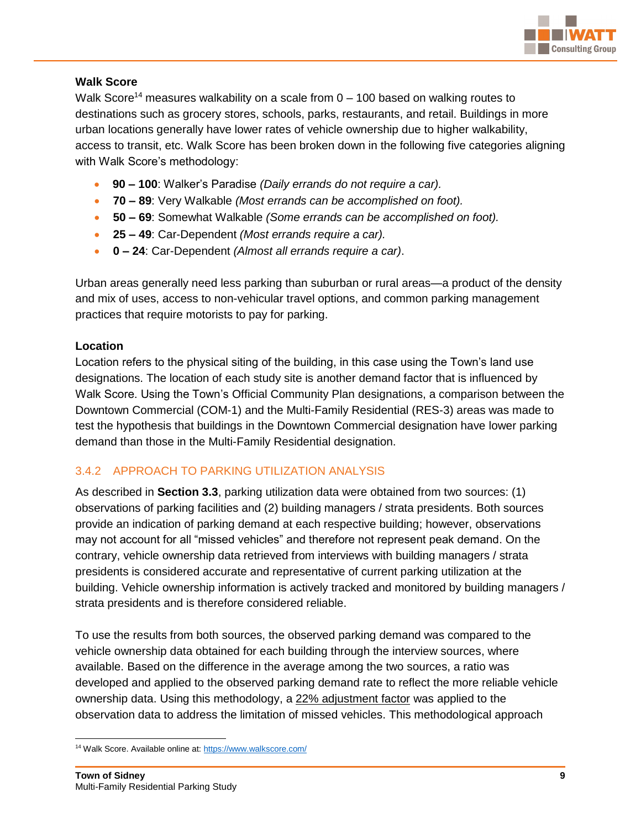

#### **Walk Score**

Walk Score<sup>14</sup> measures walkability on a scale from  $0 - 100$  based on walking routes to destinations such as grocery stores, schools, parks, restaurants, and retail. Buildings in more urban locations generally have lower rates of vehicle ownership due to higher walkability, access to transit, etc. Walk Score has been broken down in the following five categories aligning with Walk Score's methodology:

- **90 – 100**: Walker's Paradise *(Daily errands do not require a car).*
- **70 – 89**: Very Walkable *(Most errands can be accomplished on foot).*
- **50 – 69**: Somewhat Walkable *(Some errands can be accomplished on foot).*
- **25 – 49**: Car-Dependent *(Most errands require a car).*
- **0 – 24**: Car-Dependent *(Almost all errands require a car)*.

Urban areas generally need less parking than suburban or rural areas—a product of the density and mix of uses, access to non-vehicular travel options, and common parking management practices that require motorists to pay for parking.

#### **Location**

Location refers to the physical siting of the building, in this case using the Town's land use designations. The location of each study site is another demand factor that is influenced by Walk Score. Using the Town's Official Community Plan designations, a comparison between the Downtown Commercial (COM-1) and the Multi-Family Residential (RES-3) areas was made to test the hypothesis that buildings in the Downtown Commercial designation have lower parking demand than those in the Multi-Family Residential designation.

#### <span id="page-12-0"></span>3.4.2 APPROACH TO PARKING UTILIZATION ANALYSIS

As described in **Section 3.3**, parking utilization data were obtained from two sources: (1) observations of parking facilities and (2) building managers / strata presidents. Both sources provide an indication of parking demand at each respective building; however, observations may not account for all "missed vehicles" and therefore not represent peak demand. On the contrary, vehicle ownership data retrieved from interviews with building managers / strata presidents is considered accurate and representative of current parking utilization at the building. Vehicle ownership information is actively tracked and monitored by building managers / strata presidents and is therefore considered reliable.

To use the results from both sources, the observed parking demand was compared to the vehicle ownership data obtained for each building through the interview sources, where available. Based on the difference in the average among the two sources, a ratio was developed and applied to the observed parking demand rate to reflect the more reliable vehicle ownership data. Using this methodology, a 22% adjustment factor was applied to the observation data to address the limitation of missed vehicles. This methodological approach

 <sup>14</sup> Walk Score. Available online at[: https://www.walkscore.com/](https://www.walkscore.com/)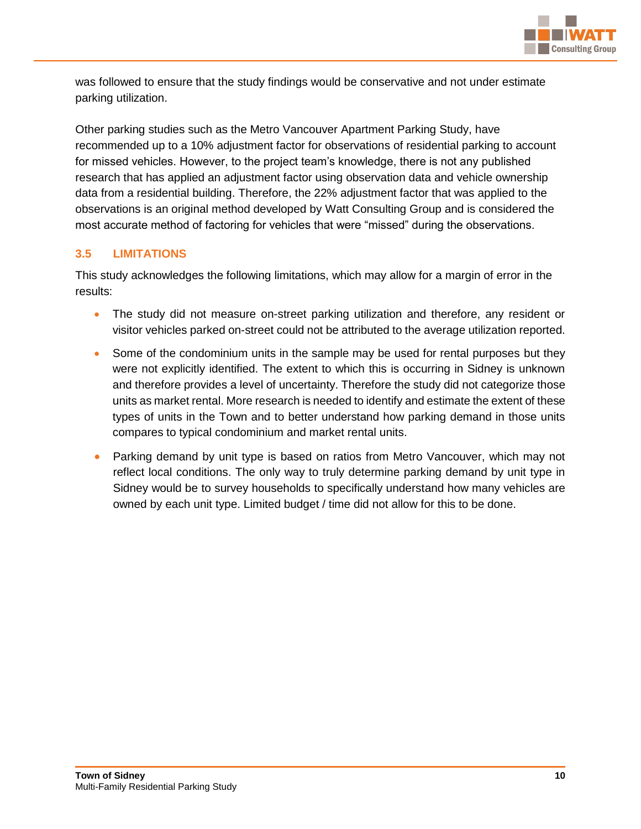

was followed to ensure that the study findings would be conservative and not under estimate parking utilization.

Other parking studies such as the Metro Vancouver Apartment Parking Study, have recommended up to a 10% adjustment factor for observations of residential parking to account for missed vehicles. However, to the project team's knowledge, there is not any published research that has applied an adjustment factor using observation data and vehicle ownership data from a residential building. Therefore, the 22% adjustment factor that was applied to the observations is an original method developed by Watt Consulting Group and is considered the most accurate method of factoring for vehicles that were "missed" during the observations.

# <span id="page-13-0"></span>**3.5 LIMITATIONS**

This study acknowledges the following limitations, which may allow for a margin of error in the results:

- The study did not measure on-street parking utilization and therefore, any resident or visitor vehicles parked on-street could not be attributed to the average utilization reported.
- Some of the condominium units in the sample may be used for rental purposes but they were not explicitly identified. The extent to which this is occurring in Sidney is unknown and therefore provides a level of uncertainty. Therefore the study did not categorize those units as market rental. More research is needed to identify and estimate the extent of these types of units in the Town and to better understand how parking demand in those units compares to typical condominium and market rental units.
- Parking demand by unit type is based on ratios from Metro Vancouver, which may not reflect local conditions. The only way to truly determine parking demand by unit type in Sidney would be to survey households to specifically understand how many vehicles are owned by each unit type. Limited budget / time did not allow for this to be done.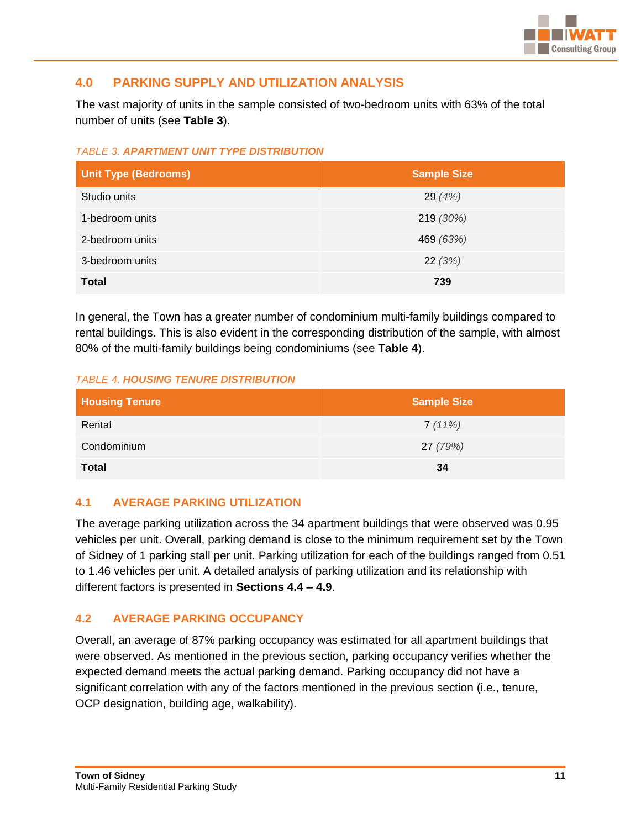

# <span id="page-14-0"></span>**4.0 PARKING SUPPLY AND UTILIZATION ANALYSIS**

The vast majority of units in the sample consisted of two-bedroom units with 63% of the total number of units (see **Table 3**).

*TABLE 3. APARTMENT UNIT TYPE DISTRIBUTION*

| <b>Unit Type (Bedrooms)</b> | <b>Sample Size</b> |
|-----------------------------|--------------------|
| Studio units                | 29 $(4%)$          |
| 1-bedroom units             | 219 (30%)          |
| 2-bedroom units             | 469 (63%)          |
| 3-bedroom units             | 22(3%)             |
| <b>Total</b>                | 739                |

In general, the Town has a greater number of condominium multi-family buildings compared to rental buildings. This is also evident in the corresponding distribution of the sample, with almost 80% of the multi-family buildings being condominiums (see **Table 4**).

#### *TABLE 4. HOUSING TENURE DISTRIBUTION*

| <b>Housing Tenure</b> | <b>Sample Size</b> |
|-----------------------|--------------------|
| Rental                | 7(11%)             |
| Condominium           | 27 (79%)           |
| <b>Total</b>          | 34                 |

#### <span id="page-14-1"></span>**4.1 AVERAGE PARKING UTILIZATION**

The average parking utilization across the 34 apartment buildings that were observed was 0.95 vehicles per unit. Overall, parking demand is close to the minimum requirement set by the Town of Sidney of 1 parking stall per unit. Parking utilization for each of the buildings ranged from 0.51 to 1.46 vehicles per unit. A detailed analysis of parking utilization and its relationship with different factors is presented in **Sections 4.4 – 4.9**.

#### <span id="page-14-2"></span>**4.2 AVERAGE PARKING OCCUPANCY**

Overall, an average of 87% parking occupancy was estimated for all apartment buildings that were observed. As mentioned in the previous section, parking occupancy verifies whether the expected demand meets the actual parking demand. Parking occupancy did not have a significant correlation with any of the factors mentioned in the previous section (i.e., tenure, OCP designation, building age, walkability).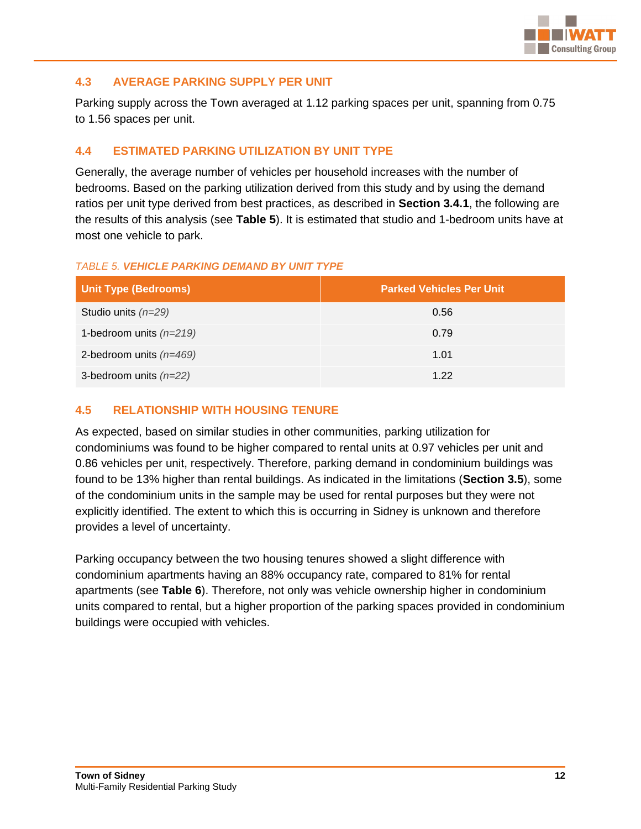

#### <span id="page-15-0"></span>**4.3 AVERAGE PARKING SUPPLY PER UNIT**

Parking supply across the Town averaged at 1.12 parking spaces per unit, spanning from 0.75 to 1.56 spaces per unit.

#### <span id="page-15-1"></span>**4.4 ESTIMATED PARKING UTILIZATION BY UNIT TYPE**

Generally, the average number of vehicles per household increases with the number of bedrooms. Based on the parking utilization derived from this study and by using the demand ratios per unit type derived from best practices, as described in **Section 3.4.1**, the following are the results of this analysis (see **Table 5**). It is estimated that studio and 1-bedroom units have at most one vehicle to park.

#### *TABLE 5. VEHICLE PARKING DEMAND BY UNIT TYPE*

| Unit Type (Bedrooms)      | <b>Parked Vehicles Per Unit</b> |
|---------------------------|---------------------------------|
| Studio units $(n=29)$     | 0.56                            |
| 1-bedroom units $(n=219)$ | 0.79                            |
| 2-bedroom units $(n=469)$ | 1.01                            |
| 3-bedroom units $(n=22)$  | 1.22                            |

#### <span id="page-15-2"></span>**4.5 RELATIONSHIP WITH HOUSING TENURE**

As expected, based on similar studies in other communities, parking utilization for condominiums was found to be higher compared to rental units at 0.97 vehicles per unit and 0.86 vehicles per unit, respectively. Therefore, parking demand in condominium buildings was found to be 13% higher than rental buildings. As indicated in the limitations (**Section 3.5**), some of the condominium units in the sample may be used for rental purposes but they were not explicitly identified. The extent to which this is occurring in Sidney is unknown and therefore provides a level of uncertainty.

Parking occupancy between the two housing tenures showed a slight difference with condominium apartments having an 88% occupancy rate, compared to 81% for rental apartments (see **Table 6**). Therefore, not only was vehicle ownership higher in condominium units compared to rental, but a higher proportion of the parking spaces provided in condominium buildings were occupied with vehicles.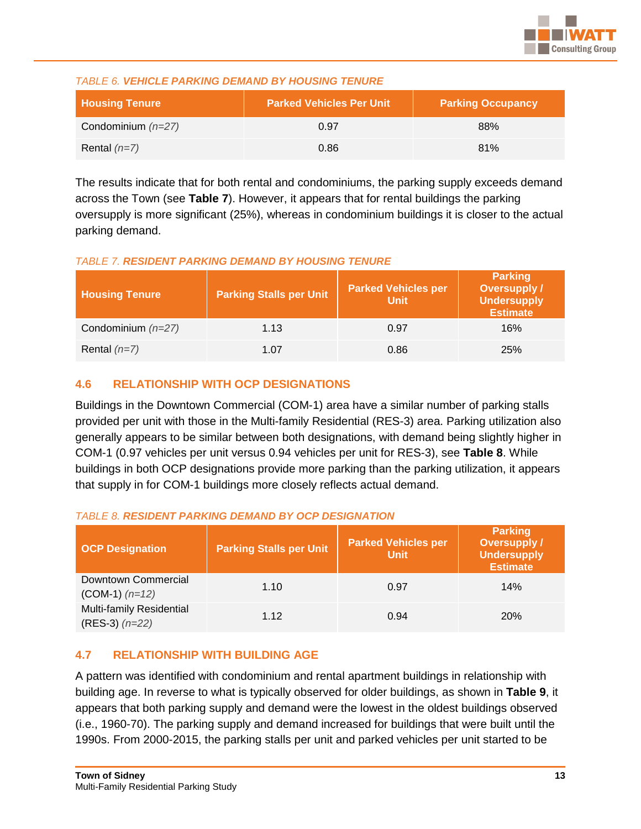

#### *TABLE 6. VEHICLE PARKING DEMAND BY HOUSING TENURE*

| <b>Housing Tenure</b> | <b>Parked Vehicles Per Unit</b> | <b>Parking Occupancy</b> |
|-----------------------|---------------------------------|--------------------------|
| Condominium $(n=27)$  | 0.97                            | 88%                      |
| Rental $(n=7)$        | 0.86                            | 81%                      |

The results indicate that for both rental and condominiums, the parking supply exceeds demand across the Town (see **Table 7**). However, it appears that for rental buildings the parking oversupply is more significant (25%), whereas in condominium buildings it is closer to the actual parking demand.

#### *TABLE 7. RESIDENT PARKING DEMAND BY HOUSING TENURE*

| <b>Housing Tenure</b> | <b>Parking Stalls per Unit</b> | <b>Parked Vehicles per</b><br><b>Unit</b> | <b>Parking</b><br><b>Oversupply /</b><br><b>Undersupply</b><br><b>Estimate</b> |
|-----------------------|--------------------------------|-------------------------------------------|--------------------------------------------------------------------------------|
| Condominium $(n=27)$  | 1.13                           | 0.97                                      | 16%                                                                            |
| Rental $(n=7)$        | 1.07                           | 0.86                                      | 25%                                                                            |

#### <span id="page-16-0"></span>**4.6 RELATIONSHIP WITH OCP DESIGNATIONS**

Buildings in the Downtown Commercial (COM-1) area have a similar number of parking stalls provided per unit with those in the Multi-family Residential (RES-3) area. Parking utilization also generally appears to be similar between both designations, with demand being slightly higher in COM-1 (0.97 vehicles per unit versus 0.94 vehicles per unit for RES-3), see **Table 8**. While buildings in both OCP designations provide more parking than the parking utilization, it appears that supply in for COM-1 buildings more closely reflects actual demand.

#### *TABLE 8. RESIDENT PARKING DEMAND BY OCP DESIGNATION*

| <b>OCP Designation</b>                         | <b>Parking Stalls per Unit</b> | <b>Parked Vehicles per</b><br><b>Unit</b> | <b>Parking</b><br><b>Oversupply /</b><br><b>Undersupply</b><br><b>Estimate</b> |
|------------------------------------------------|--------------------------------|-------------------------------------------|--------------------------------------------------------------------------------|
| Downtown Commercial<br>$(COM-1)$ $(n=12)$      | 1.10                           | 0.97                                      | 14%                                                                            |
| Multi-family Residential<br>$(RES-3)$ $(n=22)$ | 1.12                           | 0.94                                      | <b>20%</b>                                                                     |

#### <span id="page-16-1"></span>**4.7 RELATIONSHIP WITH BUILDING AGE**

A pattern was identified with condominium and rental apartment buildings in relationship with building age. In reverse to what is typically observed for older buildings, as shown in **Table 9**, it appears that both parking supply and demand were the lowest in the oldest buildings observed (i.e., 1960-70). The parking supply and demand increased for buildings that were built until the 1990s. From 2000-2015, the parking stalls per unit and parked vehicles per unit started to be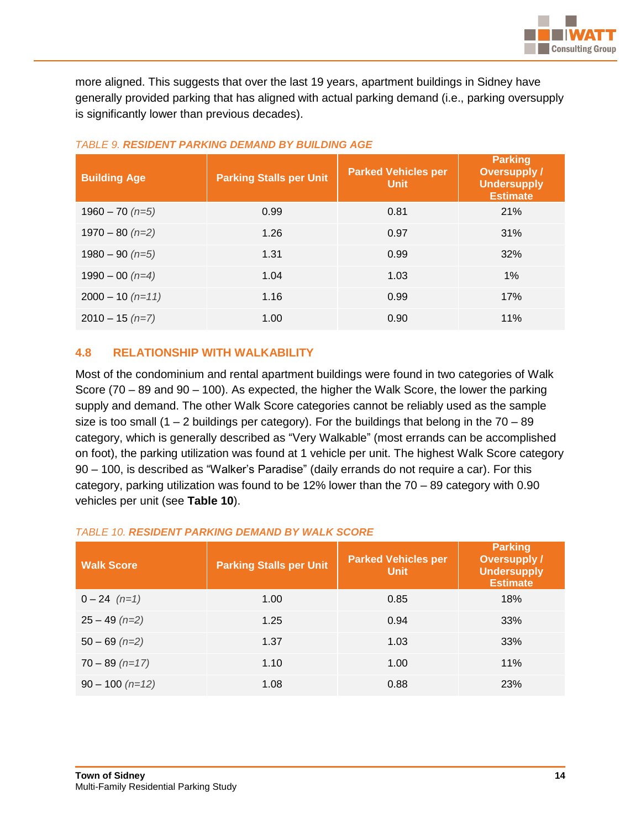

more aligned. This suggests that over the last 19 years, apartment buildings in Sidney have generally provided parking that has aligned with actual parking demand (i.e., parking oversupply is significantly lower than previous decades).

| <b>Building Age</b> | <b>Parking Stalls per Unit</b> | <b>Parked Vehicles per</b><br><b>Unit</b> | <b>Parking</b><br><b>Oversupply /</b><br><b>Undersupply</b><br><b>Estimate</b> |
|---------------------|--------------------------------|-------------------------------------------|--------------------------------------------------------------------------------|
| $1960 - 70$ (n=5)   | 0.99                           | 0.81                                      | 21%                                                                            |
| $1970 - 80$ (n=2)   | 1.26                           | 0.97                                      | 31%                                                                            |
| $1980 - 90$ (n=5)   | 1.31                           | 0.99                                      | 32%                                                                            |
| $1990 - 00$ (n=4)   | 1.04                           | 1.03                                      | 1%                                                                             |
| $2000 - 10$ (n=11)  | 1.16                           | 0.99                                      | 17%                                                                            |
| $2010 - 15$ (n=7)   | 1.00                           | 0.90                                      | 11%                                                                            |

#### *TABLE 9. RESIDENT PARKING DEMAND BY BUILDING AGE*

# <span id="page-17-0"></span>**4.8 RELATIONSHIP WITH WALKABILITY**

Most of the condominium and rental apartment buildings were found in two categories of Walk Score (70 – 89 and 90 – 100). As expected, the higher the Walk Score, the lower the parking supply and demand. The other Walk Score categories cannot be reliably used as the sample size is too small (1 – 2 buildings per category). For the buildings that belong in the  $70 - 89$ category, which is generally described as "Very Walkable" (most errands can be accomplished on foot), the parking utilization was found at 1 vehicle per unit. The highest Walk Score category 90 – 100, is described as "Walker's Paradise" (daily errands do not require a car). For this category, parking utilization was found to be 12% lower than the 70 – 89 category with 0.90 vehicles per unit (see **Table 10**).

#### *TABLE 10. RESIDENT PARKING DEMAND BY WALK SCORE*

| <b>Walk Score</b> | <b>Parking Stalls per Unit</b> | <b>Parked Vehicles per</b><br><b>Unit</b> | Parking<br><b>Oversupply /</b><br><b>Undersupply</b><br><b>Estimate</b> |
|-------------------|--------------------------------|-------------------------------------------|-------------------------------------------------------------------------|
| $0 - 24$ $(n=1)$  | 1.00                           | 0.85                                      | 18%                                                                     |
| $25 - 49$ (n=2)   | 1.25                           | 0.94                                      | 33%                                                                     |
| $50 - 69$ (n=2)   | 1.37                           | 1.03                                      | 33%                                                                     |
| $70 - 89$ (n=17)  | 1.10                           | 1.00                                      | 11%                                                                     |
| $90 - 100$ (n=12) | 1.08                           | 0.88                                      | 23%                                                                     |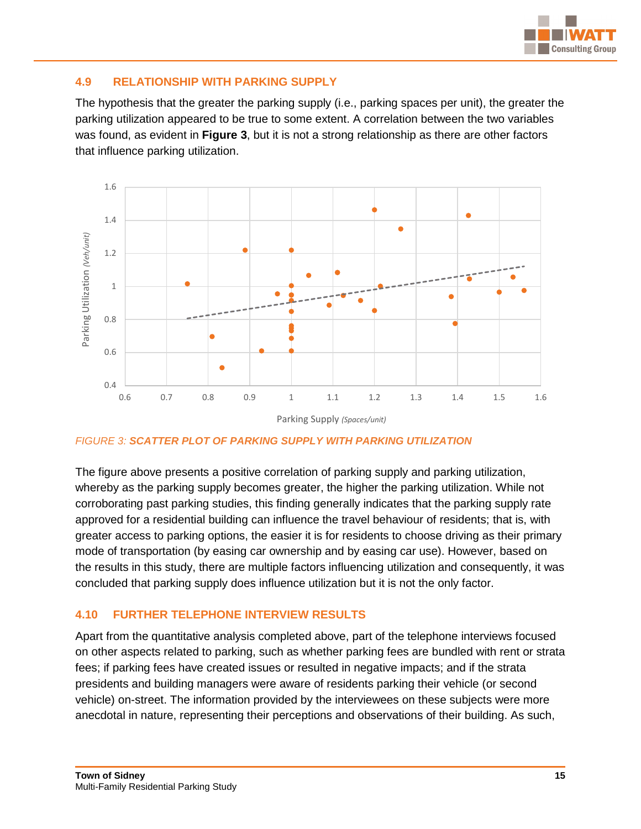

#### <span id="page-18-0"></span>**4.9 RELATIONSHIP WITH PARKING SUPPLY**

The hypothesis that the greater the parking supply (i.e., parking spaces per unit), the greater the parking utilization appeared to be true to some extent. A correlation between the two variables was found, as evident in **Figure 3**, but it is not a strong relationship as there are other factors that influence parking utilization.



*FIGURE 3: SCATTER PLOT OF PARKING SUPPLY WITH PARKING UTILIZATION*

The figure above presents a positive correlation of parking supply and parking utilization, whereby as the parking supply becomes greater, the higher the parking utilization. While not corroborating past parking studies, this finding generally indicates that the parking supply rate approved for a residential building can influence the travel behaviour of residents; that is, with greater access to parking options, the easier it is for residents to choose driving as their primary mode of transportation (by easing car ownership and by easing car use). However, based on the results in this study, there are multiple factors influencing utilization and consequently, it was concluded that parking supply does influence utilization but it is not the only factor.

#### <span id="page-18-1"></span>**4.10 FURTHER TELEPHONE INTERVIEW RESULTS**

Apart from the quantitative analysis completed above, part of the telephone interviews focused on other aspects related to parking, such as whether parking fees are bundled with rent or strata fees; if parking fees have created issues or resulted in negative impacts; and if the strata presidents and building managers were aware of residents parking their vehicle (or second vehicle) on-street. The information provided by the interviewees on these subjects were more anecdotal in nature, representing their perceptions and observations of their building. As such,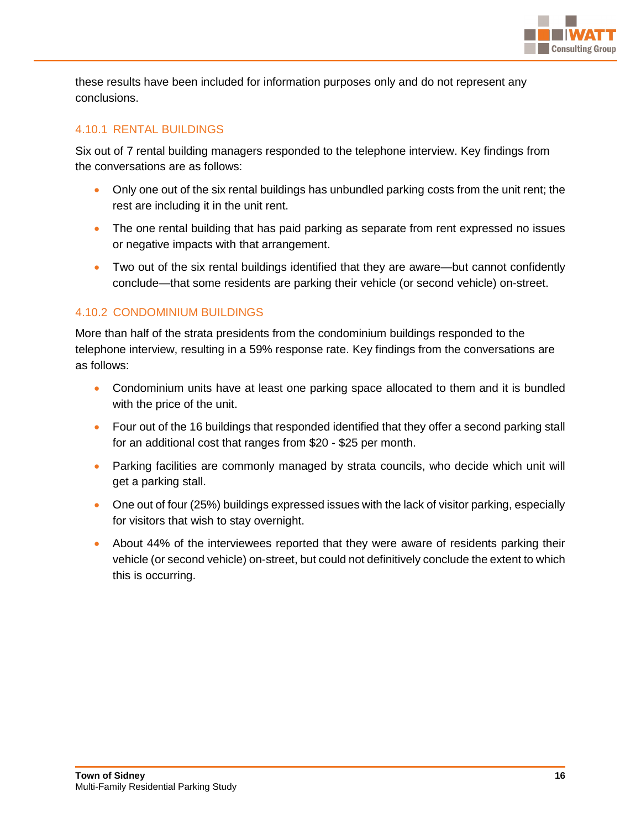

these results have been included for information purposes only and do not represent any conclusions.

#### <span id="page-19-0"></span>4.10.1 RENTAL BUILDINGS

Six out of 7 rental building managers responded to the telephone interview. Key findings from the conversations are as follows:

- Only one out of the six rental buildings has unbundled parking costs from the unit rent; the rest are including it in the unit rent.
- The one rental building that has paid parking as separate from rent expressed no issues or negative impacts with that arrangement.
- Two out of the six rental buildings identified that they are aware—but cannot confidently conclude—that some residents are parking their vehicle (or second vehicle) on-street.

# <span id="page-19-1"></span>4.10.2 CONDOMINIUM BUILDINGS

More than half of the strata presidents from the condominium buildings responded to the telephone interview, resulting in a 59% response rate. Key findings from the conversations are as follows:

- Condominium units have at least one parking space allocated to them and it is bundled with the price of the unit.
- Four out of the 16 buildings that responded identified that they offer a second parking stall for an additional cost that ranges from \$20 - \$25 per month.
- Parking facilities are commonly managed by strata councils, who decide which unit will get a parking stall.
- One out of four (25%) buildings expressed issues with the lack of visitor parking, especially for visitors that wish to stay overnight.
- About 44% of the interviewees reported that they were aware of residents parking their vehicle (or second vehicle) on-street, but could not definitively conclude the extent to which this is occurring.